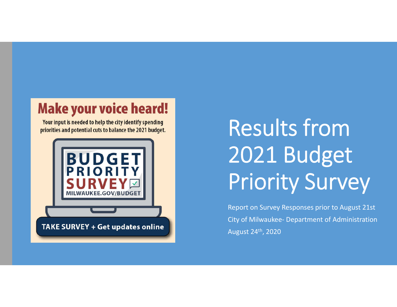## **Make your voice heard!**

Your input is needed to help the city identify spending priorities and potential cuts to balance the 2021 budget.



# Results from 2021 Budget Priority Survey

Report on Survey Responses prior to August 21st City of Milwaukee- Department of Administration August 24th, 2020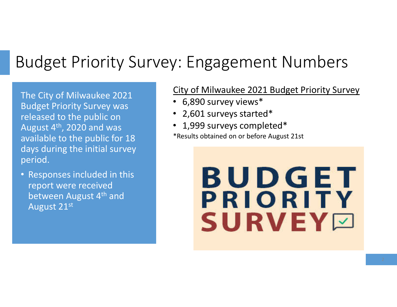## Budget Priority Survey: Engagement Numbers

The City of Milwaukee 2021 Budget Priority Survey was released to the public on August  $4^{\text{th}}$ , 2020 and was available to the public for 18 days during the initial survey period.

• Responses included in this report were received between August 4<sup>th</sup> and August 21st

#### City of Milwaukee 2021 Budget Priority Survey

- 6,890 survey views\*
- 2,601 surveys started\*
- 1,999 surveys completed\*
- \*Results obtained on or before August 21st

# BUDGET PRIORITY SURVEYØ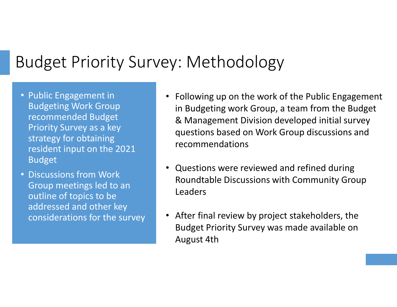## Budget Priority Survey: Methodology

- Public Engagement in Budgeting Work Group recommended Budget Priority Survey as a key strategy for obtaining resident input on the 2021 Budget
- Discussions from Work Group meetings led to an outline of topics to be addressed and other key considerations for the survey
- Following up on the work of the Public Engagement in Budgeting work Group, a team from the Budget & Management Division developed initial survey questions based on Work Group discussions and recommendations
- Questions were reviewed and refined during Roundtable Discussions with Community Group Leaders
- After final review by project stakeholders, the Budget Priority Survey was made available on August 4th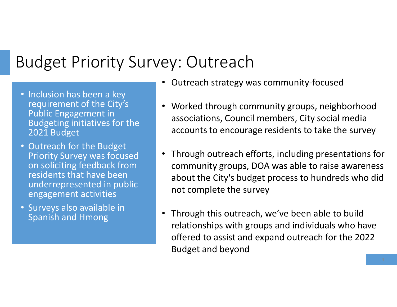## Budget Priority Survey: Outreach

- Inclusion has been a key requirement of the City's Public Engagement in Budgeting initiatives for the 2021 Budget
- Outreach for the Budget Priority Survey was focused on soliciting feedback from residents that have been underrepresented in public engagement activities
- Surveys also available in Spanish and Hmong
- Outreach strategy was community-focused
- Worked through community groups, neighborhood associations, Council members, City social media accounts to encourage residents to take the survey
- Through outreach efforts, including presentations for community groups, DOA was able to raise awareness about the City's budget process to hundreds who did not complete the survey
- Through this outreach, we've been able to build relationships with groups and individuals who have offered to assist and expand outreach for the 2022 Budget and beyond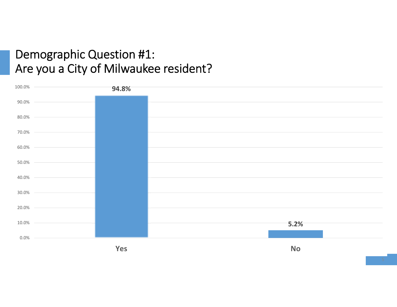### Demographic Question #1: Are you a City of Milwaukee resident?

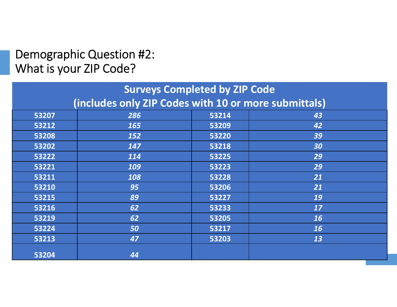### Demographic Question #2: What is your ZIP Code?

| <b>Surveys Completed by ZIP Code</b>                 |            |       |           |  |
|------------------------------------------------------|------------|-------|-----------|--|
| (includes only ZIP Codes with 10 or more submittals) |            |       |           |  |
| 53207                                                | 286        | 53214 | 43        |  |
| 53212                                                | 165        | 53209 | 42        |  |
| 53208                                                | <b>152</b> | 53220 | 39        |  |
| 53202                                                | 147        | 53218 | 30        |  |
| 53222                                                | 114        | 53225 | 29        |  |
| 53221                                                | 109        | 53223 | 29        |  |
| 53211                                                | 108        | 53228 | 21        |  |
| 53210                                                | 95         | 53206 | 21        |  |
| 53215                                                | 89         | 53227 | 19        |  |
| 53216                                                | 62         | 53233 | 17        |  |
| 53219                                                | 62         | 53205 | <b>16</b> |  |
| 53224                                                | 50         | 53217 | <b>16</b> |  |
| 53213                                                | 47         | 53203 | 13        |  |
| 53204                                                | 44         |       |           |  |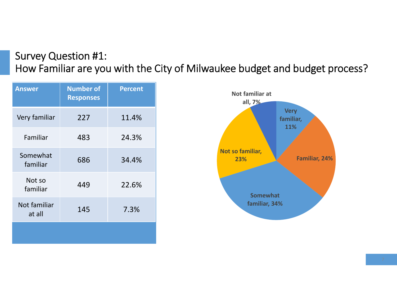#### Survey Question #1: How Familiar are you with the City of Milwaukee budget and budget process?

| <b>Answer</b>          | <b>Number of</b><br><b>Responses</b> | Percent |
|------------------------|--------------------------------------|---------|
| Very familiar          | 227                                  | 11.4%   |
| Familiar               | 483                                  | 24.3%   |
| Somewhat<br>familiar   | 686                                  | 34.4%   |
| Not so<br>familiar     | 449                                  | 22.6%   |
| Not familiar<br>at all | 145                                  | 7.3%    |
|                        |                                      |         |

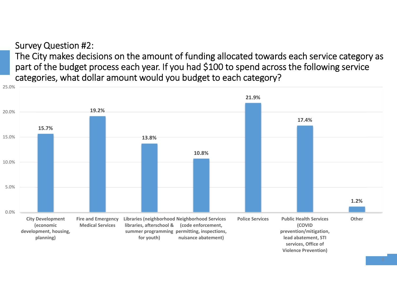#### Survey Question #2:

The City makes decisions on the amount of funding allocated towards each service category as part of the budget process each year. If you had \$100 to spend across the following service categories, what dollar amount would you budget to each category?

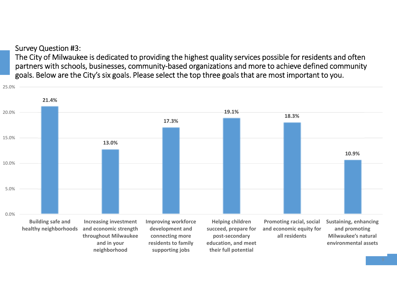Survey Question #3:

The City of Milwaukee is dedicated to providing the highest quality services possible for residents and often partners with schools, businesses, community-based organizations and more to achieve defined community goals. Below are the City's six goals. Please select the top three goals that are most important to you.

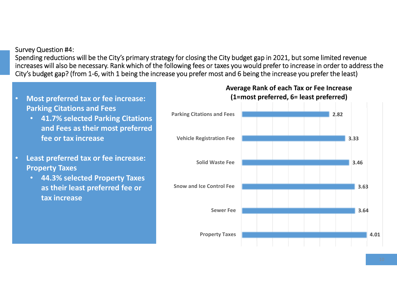#### Survey Question #4:

Spending reductions will be the City's primary strategy for closing the City budget gap in 2021, but some limited revenue increases will also be necessary. Rank which of the following fees or taxes you would prefer to increase in order to address the City's budget gap? (from 1-6, with 1 being the increase you prefer most and 6 being the increase you prefer the least)

- **Most preferred tax or fee increase: Parking Citations and Fees**
	- **41.7% selected Parking Citations and Fees as their most preferred fee or tax increase**
- **Least preferred tax or fee increase: Property Taxes**
	- **44.3% selected Property Taxes as their least preferred fee or tax increase**

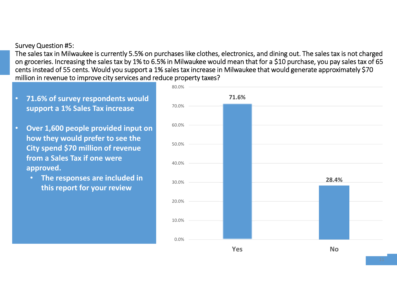#### Survey Question #5:

The sales tax in Milwaukee is currently 5.5% on purchases like clothes, electronics, and dining out. The sales tax is not charged on groceries. Increasing the sales tax by 1% to 6.5% in Milwaukee would mean that for a \$10 purchase, you pay sales tax of 65 cents instead of 55 cents. Would you support a 1% sales tax increase in Milwaukee that would generate approximately \$70 million in revenue to improve city services and reduce property taxes?

- **71.6% of survey respondents would support a 1% Sales Tax increase**
- **Over 1,600 people provided input on how they would prefer to see the City spend \$70 million of revenue from a Sales Tax if one were approved.**
	- **The responses are included in this report for your review**

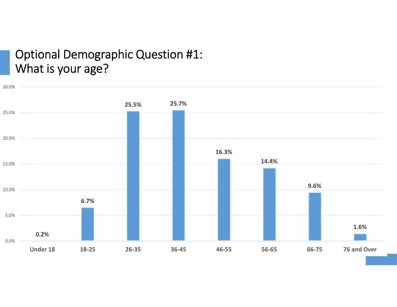### Optional Demographic Question #1: What is your age?

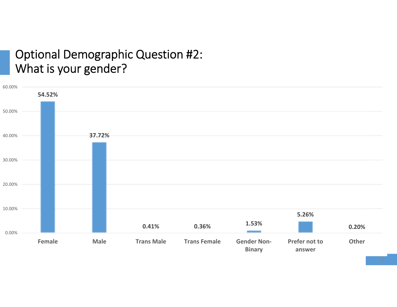#### Optional Demographic Question #2: What is your gender?

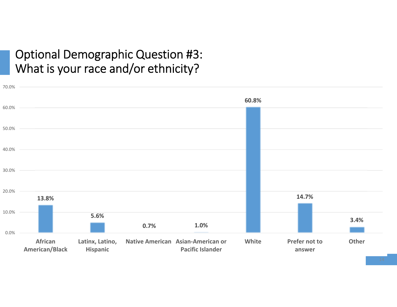### Optional Demographic Question #3: What is your race and/or ethnicity?